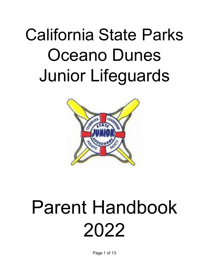# California State Parks Oceano Dunes Junior Lifeguards



# Parent Handbook 2022

Page 1 of 13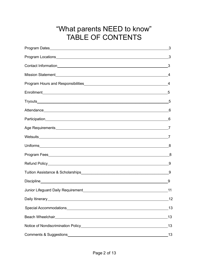# "What parents NEED to know" TABLE OF CONTENTS

|                                                                                                                | _3 |
|----------------------------------------------------------------------------------------------------------------|----|
|                                                                                                                |    |
|                                                                                                                |    |
|                                                                                                                |    |
|                                                                                                                |    |
|                                                                                                                |    |
|                                                                                                                |    |
|                                                                                                                | 6  |
|                                                                                                                |    |
|                                                                                                                |    |
|                                                                                                                |    |
|                                                                                                                |    |
|                                                                                                                |    |
|                                                                                                                | 9  |
|                                                                                                                |    |
|                                                                                                                | 9  |
|                                                                                                                | 11 |
|                                                                                                                | 12 |
|                                                                                                                | 13 |
|                                                                                                                | 13 |
| Notice of Nondiscrimination Policy [2012] [2013] Notice of Nondiscrimination Policy [2013] [2013] [2013] [2014 | 13 |
|                                                                                                                | 13 |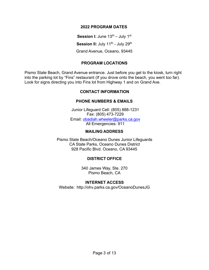#### **2022 PROGRAM DATES**

 $\bf S$ ession **I:** June 13<sup>th</sup> – July 1<sup>st</sup>  $\bf S$ ession II: July 11<sup>th</sup> - July 29<sup>th</sup> Grand Avenue, Oceano, 93445

#### **PROGRAM LOCATIONS**

<span id="page-2-0"></span>Pismo State Beach, Grand Avenue entrance. Just before you get to the kiosk, turn right into the parking lot by "Fins" restaurant (If you drove onto the beach, you went too far). Look for signs directing you into Fins lot from Highway 1 and on Grand Ave.

#### **CONTACT INFORMATION**

#### **PHONE NUMBERS & EMAILS**

Junior Lifeguard Cell: (805) 888-1231 Fax: (805) 473-7229 Email: [obadiah.wheeler@parks.ca.gov](mailto:obadiah.wheeler@parks.ca.gov) All Emergencies: 911

#### **MAILING ADDRESS**

Pismo State Beach/Oceano Dunes Junior Lifeguards CA State Parks, Oceano Dunes District 928 Pacific Blvd. Oceano, CA 93445

# **DISTRICT OFFICE**

340 James Way, Ste. 270 Pismo Beach, CA

#### **INTERNET ACCESS**

Website: [http://ohv.parks.ca.gov/OceanoDunesJ](http://ohv.parks.ca.gov/OceanoDunes)G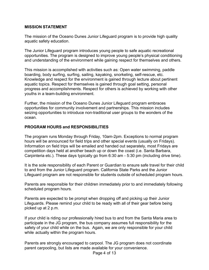#### <span id="page-3-0"></span>**MISSION STATEMENT**

The mission of the Oceano Dunes Junior Lifeguard program is to provide high quality aquatic safety education.

The Junior Lifeguard program introduces young people to safe aquatic recreational opportunities. The program is designed to improve young people's physical conditioning and understanding of the environment while gaining respect for themselves and others.

This mission is accomplished with activities such as: Open water swimming, paddle boarding, body surfing, surfing, sailing, kayaking, snorkeling, self-rescue, etc. Knowledge and respect for the environment is gained through lecture about pertinent aquatic topics. Respect for themselves is gained through goal setting, personal progress and accomplishments. Respect for others is achieved by working with other youths in a team-building environment.

Further, the mission of the Oceano Dunes Junior Lifeguard program embraces opportunities for community involvement and partnerships. This mission includes seizing opportunities to introduce non-traditional user groups to the wonders of the ocean.

#### **PROGRAM HOURS and RESPONSIBILITIES**

The program runs Monday through Friday, 10am-2pm. Exceptions to normal program hours will be announced for field trips and other special events (usually on Fridays). Information on field trips will be emailed and handed out separately, most Fridays are competition days held at another beach up or down the coast (i.e. Santa Barbara, Carpinteria etc.). These days typically go from 6:30 am - 5:30 pm (including drive time).

It is the sole responsibility of each Parent or Guardian to ensure safe travel for their child to and from the Junior Lifeguard program. California State Parks and the Junior Lifeguard program are not responsible for students outside of scheduled program hours.

Parents are responsible for their children immediately prior to and immediately following scheduled program hours.

Parents are expected to be prompt when dropping off and picking up their Junior Lifeguards. Please remind your child to be ready with all of their gear before being picked up at 2 p.m.

If your child is riding our professionally hired bus to and from the Santa Maria area to participate in the JG program, the bus company assumes full responsibility for the safety of your child while on the bus. Again, we are only responsible for your child while actually within the program hours.

Parents are strongly encouraged to carpool. The JG program does not coordinate parent carpooling, but lists are made available for your convenience.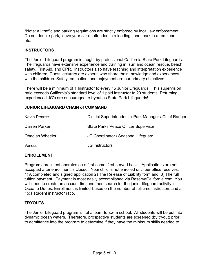\*Note: All traffic and parking regulations are strictly enforced by local law enforcement. Do not double-park, leave your car unattended in a loading zone, park in a red zone, etc.

#### **INSTRUCTORS**

The Junior Lifeguard program is taught by professional California State Park Lifeguards. The lifeguards have extensive experience and training in: surf and ocean rescue, beach safety, First Aid, and CPR. Instructors also have teaching and interpretation experience with children. Guest lecturers are experts who share their knowledge and experiences with the children. Safety, education, and enjoyment are our primary objectives.

There will be a minimum of 1 Instructor to every 15 Junior Lifeguards. This supervision ratio exceeds California's standard level of 1 paid instructor to 20 students. Returning experienced JG's are encouraged to tryout as State Park Lifeguards!

#### **JUNIOR LIFEGUARD CHAIN of COMMAND**

| <b>Kevin Pearce</b>    | District Superintendent / Park Manager / Chief Ranger |
|------------------------|-------------------------------------------------------|
| Darren Parker          | <b>State Parks Peace Officer Supervisor</b>           |
| <b>Obadiah Wheeler</b> | JG Coordinator / Seasonal Lifeguard I                 |
| Various                | <b>JG</b> Instructors                                 |

#### <span id="page-4-0"></span>**ENROLLMENT**

Program enrollment operates on a first-come, first-served basis. Applications are not accepted after enrollment is closed. Your child is not enrolled until our office receives: 1) A completed and signed application 2) The Release of Liability form and, 3) The full tuition payment. Payment is most easily accomplished via ReserveCalifornia.com. You will need to create an account first and then search for the junior lifeguard activity in Oceano Dunes. Enrollment is limited based on the number of full time instructors and a 15:1 student instructor ratio.

#### **TRYOUTS**

The Junior Lifeguard program is not a learn-to-swim school. All students will be put into dynamic ocean waters. Therefore, prospective students are screened (by tryout) prior to admittance into the program to determine if they have the minimum skills needed to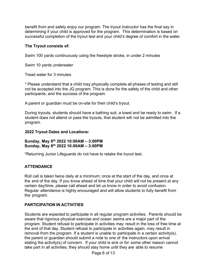benefit from and safely enjoy our program. The tryout Instructor has the final say in determining if your child is approved for the program. This determination is based on successful completion of the tryout test and your child's degree of comfort in the water.

# **The Tryout consists of:**

Swim 100 yards continuously using the freestyle stroke, in under 2 minutes

Swim 10 yards underwater

Tread water for 3 minutes

\* Please understand that a child may physically complete all phases of testing and still not be accepted into the JG program. This is done for the safety of the child and other participants, and the success of the program.

A parent or guardian must be on-site for their child's tryout.

During tryouts, students should have a bathing suit, a towel and be ready to swim. If a student does not attend or pass the tryouts, that student will not be admitted into the program.

# **2022 Tryout Dates and Locations:**

# **Sunday, May 8th 2022 10:00AM – 3:00PM Sunday, May 8th 2022 10:00AM – 3:00PM**

\*Returning Junior Lifeguards do not have to retake the tryout test.

# <span id="page-5-0"></span>**ATTENDANCE**

Roll call is taken twice daily at a minimum; once at the start of the day, and once at the end of the day. If you know ahead of time that your child will not be present at any certain day/time, please call ahead and let us know in order to avoid confusion. Regular attendance is highly encouraged and will allow students to fully benefit from the program.

# **PARTICIPATION IN ACTIVITIES**

Students are expected to participate in all regular program activities. Parents should be aware that rigorous physical exercise and ocean swims are a major part of the program. Student refusal to participate in activities may result in the loss of free time at the end of that day. Student refusal to participate in activities again, may result in removal from the program. If a student is unable to participate in a certain activity(s), the parent or guardian should submit a note to one of the instructors upon arrival stating the activity(s) of concern. If your child is sick or for some other reason cannot take part in all activities, they should stay home until they are able to resume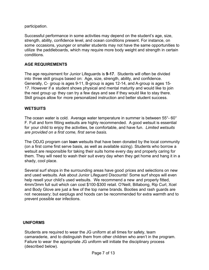participation.

Successful performance in some activities may depend on the student's age, size, strength, ability, confidence level, and ocean conditions present. For instance, on some occasions, younger or smaller students may not have the same opportunities to utilize the paddleboards, which may require more body weight and strength in certain conditions.

# <span id="page-6-0"></span>**AGE REQUIREMENTS**

The age requirement for Junior Lifeguards is **9-17**. Students will often be divided into three skill groups based on: Age, size, strength, ability, and confidence. Generally, C- group is ages 9-11, B-group is ages 12-14, and A-group is ages 15- 17. However if a student shows physical and mental maturity and would like to join the next group up they can try a few days and see if they would like to stay there. Skill groups allow for more personalized instruction and better student success.

# <span id="page-6-1"></span>**WETSUITS**

The ocean water is cold. Average water temperature in summer is between 55°- 60° F. Full and form fitting wetsuits are highly recommended. A good wetsuit is essential for your child to enjoy the activities, be comfortable, and have fun. *Limited wetsuits are provided on a first come, first serve basis.*

The ODJG program can **loan** wetsuits that have been donated by the local community (on a first come first serve basis, as well as available sizing). Students who borrow a wetsuit are responsible for taking their suits home every day and properly caring for them. They will need to wash their suit every day when they get home and hang it in a shady, cool place.

Several surf shops in the surrounding areas have good prices and selections on new and used wetsuits. Ask about Junior Lifeguard Discounts! Some surf shops will even help resell your child's used wetsuits. We recommend a new and properly fitted, 4mm/3mm full suit which can cost \$100-\$300 retail. O'Neill, Billabong, Rip Curl, Xcel and Body Glove are just a few of the top name brands. Booties and rash guards are not necessary; but earplugs and hoods can be recommended for extra warmth and to prevent possible ear infections.

#### **UNIFORMS**

Students are required to wear the JG uniform at all times for safety, team camaraderie, and to distinguish them from other children who aren't in the program. Failure to wear the appropriate JG uniform will initiate the disciplinary process (described below).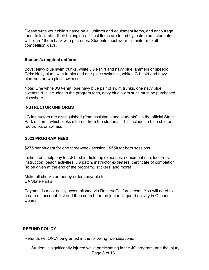Please write your child's name on all uniform and equipment items, and encourage them to look after their belongings. If lost items are found by instructors, students will "earn" them back with push-ups. Students must wear full uniform to all competition days.

#### **Student's required uniform**

Boys: Navy blue swim trunks, white JG t-shirt and navy blue jammers or speedo. Girls: Navy blue swim trunks and one-piece swimsuit, white JG t-shirt and navy blue one or two piece swim suit.

Note: One white JG t-shirt, one navy blue pair of swim trunks, one navy blue sweatshirt is included in the program fees, navy blue swim suits must be purchased elsewhere.

#### **INSTRUCTOR UNIFORMS**

JG Instructors are distinguished (from assistants and students) via the official State Park uniform, which looks different from the students. This includes a blue shirt and red trunks or swimsuit.

#### **2022 PROGRAM FEES**

**\$275** per student for one three-week session. **\$550** for both sessions.

Tuition fees help pay for: JG t-shirt, field trip expenses, equipment use, lecturers, instruction, beach activities, JG patch, instructor expenses, certificate of completion (to be given at the end of the program), stickers, and more!

Make all checks or money orders payable to: CA State Parks

Payment is most easily accomplished via ReserveCalifornia.com. You will need to create an account first and then search for the junior lifeguard activity in Oceano Dunes.

#### **REFUND POLICY**

Refunds will ONLY be granted in the following two situations:

Page 8 of 13 1. Student is significantly injured while participating in the JG program, and the injury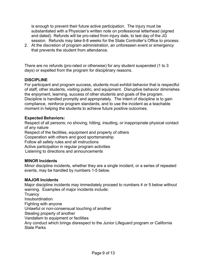is enough to prevent their future active participation. The injury must be substantiated with a Physician's written note on professional letterhead (signed and dated). Refunds will be pro-rated from injury date, to last day of the JG session. Refunds may take 6-8 weeks for the State Controller's Office to process.

2. At the discretion of program administration, an unforeseen event or emergency that prevents the student from attendance.

There are no refunds (pro-rated or otherwise) for any student suspended (1 to 3 days) or expelled from the program for disciplinary reasons.

# **DISCIPLINE**

For participant and program success, students must exhibit behavior that is respectful of staff, other students, visiting public, and equipment. Disruptive behavior diminishes the enjoyment, learning, success of other students and goals of the program. Discipline is handled promptly and appropriately. The intent of discipline is to gain compliance, reinforce program standards, and to use the incident as a teachable moment in helping the students to achieve future positive outcomes.

#### **Expected Behaviors:**

Respect of all persons; no shoving, hitting, insulting, or inappropriate physical contact of any nature Respect of the facilities, equipment and property of others Cooperation with others and good sportsmanship Follow all safety rules and all instructions Active participation in regular program activities

Listening to directions and announcements

#### **MINOR Incidents**

Minor discipline incidents, whether they are a single incident, or a series of repeated events, may be handled by numbers 1-5 below.

#### **MAJOR Incidents**

Major discipline incidents may immediately proceed to numbers 4 or 5 below without warning. Examples of major incidents include: **Truancy Insubordination** Fighting with anyone Unlawful or non-consensual touching of another Stealing property of another Vandalism to equipment or facilities Any conduct which brings disrespect to the Junior Lifeguard program or California State Parks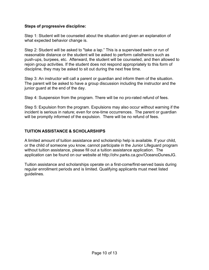# **Steps of progressive discipline:**

Step 1: Student will be counseled about the situation and given an explanation of what expected behavior change is.

Step 2: Student will be asked to "take a lap." This is a supervised swim or run of reasonable distance or the student will be asked to perform calisthenics such as push-ups, burpees, etc. Afterward, the student will be counseled, and then allowed to rejoin group activities. If the student does not respond appropriately to this form of discipline, they may be asked to sit out during the next free time.

Step 3: An instructor will call a parent or guardian and inform them of the situation. The parent will be asked to have a group discussion including the instructor and the junior guard at the end of the day.

Step 4: Suspension from the program. There will be no pro-rated refund of fees.

Step 5: Expulsion from the program. Expulsions may also occur without warning if the incident is serious in nature; even for one-time occurrences. The parent or guardian will be promptly informed of the expulsion. There will be no refund of fees.

# **TUITION ASSISTANCE & SCHOLARSHIPS**

A limited amount of tuition assistance and scholarship help is available. If your child, or the child of someone you know, cannot participate in the Junior Lifeguard program without tuition assistance, please fill out a tuition assistance application. The application can be found on our website at [http://ohv.parks.ca.gov/OceanoDunesJ](http://ohv.parks.ca.gov/OceanoDunes)G.

Tuition assistance and scholarships operate on a first-come/first-served basis during regular enrollment periods and is limited. Qualifying applicants must meet listed guidelines.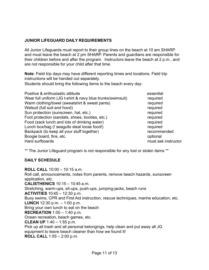# **JUNIOR LIFEGUARD DAILY REQUIREMENTS**

All Junior Lifeguards must report to their group lines on the beach at 10 am SHARP and must leave the beach at 2 pm SHARP. Parents and guardians are responsible for their children before and after the program. Instructors leave the beach at 2 p.m., and are not responsible for your child after that time.

**Note**: Field trip days may have different reporting times and locations. Field trip instructions will be handed out separately. Students should bring the following items to the beach every day:

| Positive & enthusiastic attitude                           | essential           |
|------------------------------------------------------------|---------------------|
| Wear full uniform (JG t-shirt & navy blue trunks/swimsuit) | required            |
| Warm clothing/towel (sweatshirt & sweat pants)             | required            |
| Wetsuit (full suit and hood)                               | required            |
| Sun protection (sunscreen, hat, etc.)                      | required            |
| Foot protection (sandals, shoes, booties, etc.)            | required            |
| Food (sack lunch and lots of drinking water)               | required            |
| Lunch box/bag (! seagulls steal loose food!)               | required            |
| Backpack (to keep all your stuff together)                 | recommended         |
| Boogie board, fins, etc.                                   | optional            |
| Hard surfboards                                            | must ask instructor |

\*\* The Junior Lifeguard program is not responsible for any lost or stolen items \*\*

# **DAILY SCHEDULE**

**ROLL CALL** 10:00 – 10:15 a.m. Roll call, announcements, notes from parents, remove beach hazards, sunscreen application, etc. **CALISTHENICS** 10:15 – 10:45 a.m. Stretching, warm-ups, sit-ups, push-ups, jumping-jacks, beach runs **ACTIVITIES** 10:45 – 12:30 p.m. Buoy swims, CPR and First Aid instruction, rescue techniques, marine education, etc. **LUNCH** 12:30 p.m. – 1:00 p.m. Bring your own lunch to eat on the beach **RECREATION** 1:00 – 1:40 p.m. Ocean recreation, beach games, etc. **CLEAN UP** 1:40 – 1:55 p.m. Pick up all trash and all personal belongings, help clean and put away all JG equipment to leave beach cleaner than how we found it!

**ROLL CALL** 1:55 – 2:00 p.m.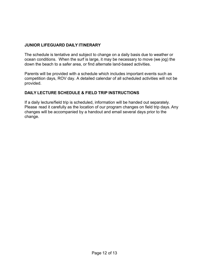# **JUNIOR LIFEGUARD DAILY ITINERARY**

The schedule is tentative and subject to change on a daily basis due to weather or ocean conditions. When the surf is large, it may be necessary to move (we jog) the down the beach to a safer area, or find alternate land-based activities.

Parents will be provided with a schedule which includes important events such as competition days, ROV day. A detailed calendar of all scheduled activities will not be provided.

# **DAILY LECTURE SCHEDULE & FIELD TRIP INSTRUCTIONS**

If a daily lecture/field trip is scheduled, information will be handed out separately. Please read it carefully as the location of our program changes on field trip days. Any changes will be accompanied by a handout and email several days prior to the change.